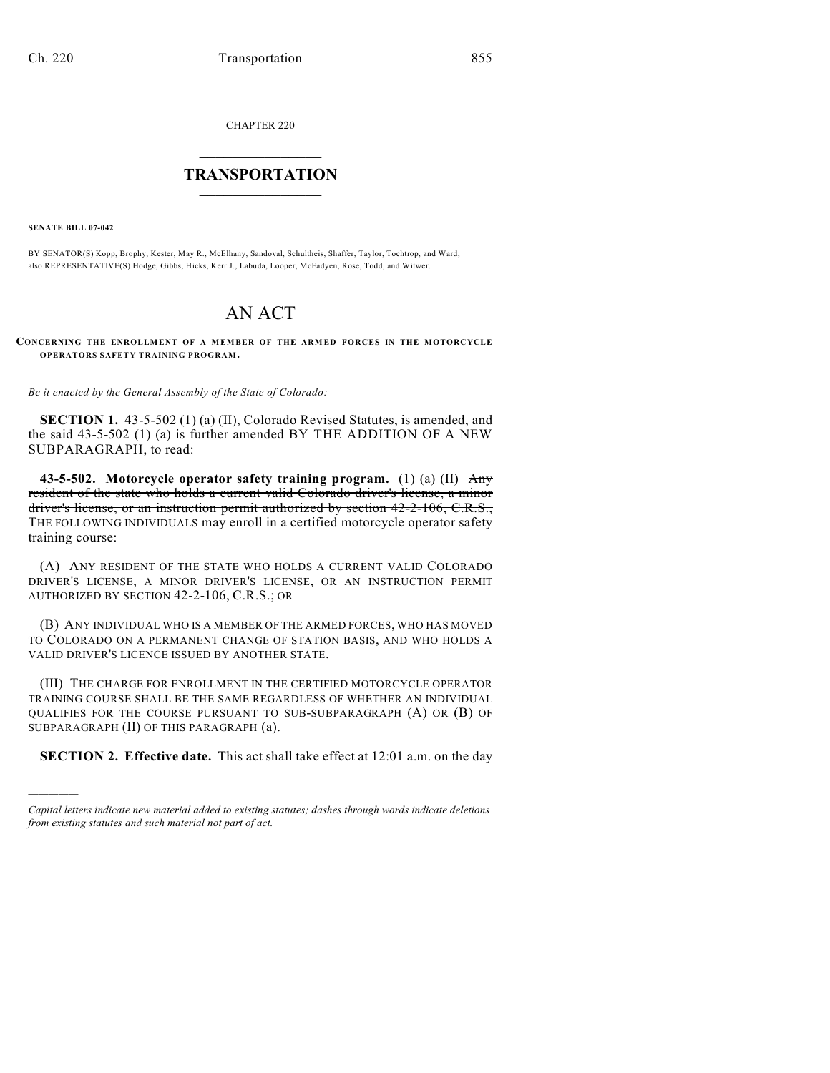CHAPTER 220

## $\overline{\phantom{a}}$  . The set of the set of the set of the set of the set of the set of the set of the set of the set of the set of the set of the set of the set of the set of the set of the set of the set of the set of the set o **TRANSPORTATION**  $\_$   $\_$   $\_$   $\_$   $\_$   $\_$   $\_$   $\_$   $\_$   $\_$

**SENATE BILL 07-042**

)))))

BY SENATOR(S) Kopp, Brophy, Kester, May R., McElhany, Sandoval, Schultheis, Shaffer, Taylor, Tochtrop, and Ward; also REPRESENTATIVE(S) Hodge, Gibbs, Hicks, Kerr J., Labuda, Looper, McFadyen, Rose, Todd, and Witwer.

## AN ACT

**CONCERNING THE ENROLLMENT OF A MEMBER OF THE ARM ED FORCES IN THE MOTORCYCLE OPERATORS SAFETY TRAINING PROGRAM.**

*Be it enacted by the General Assembly of the State of Colorado:*

**SECTION 1.** 43-5-502 (1) (a) (II), Colorado Revised Statutes, is amended, and the said 43-5-502 (1) (a) is further amended BY THE ADDITION OF A NEW SUBPARAGRAPH, to read:

**43-5-502. Motorcycle operator safety training program.** (1) (a) (II) Any resident of the state who holds a current valid Colorado driver's license, a minor driver's license, or an instruction permit authorized by section 42-2-106, C.R.S., THE FOLLOWING INDIVIDUALS may enroll in a certified motorcycle operator safety training course:

(A) ANY RESIDENT OF THE STATE WHO HOLDS A CURRENT VALID COLORADO DRIVER'S LICENSE, A MINOR DRIVER'S LICENSE, OR AN INSTRUCTION PERMIT AUTHORIZED BY SECTION 42-2-106, C.R.S.; OR

(B) ANY INDIVIDUAL WHO IS A MEMBER OF THE ARMED FORCES, WHO HAS MOVED TO COLORADO ON A PERMANENT CHANGE OF STATION BASIS, AND WHO HOLDS A VALID DRIVER'S LICENCE ISSUED BY ANOTHER STATE.

(III) THE CHARGE FOR ENROLLMENT IN THE CERTIFIED MOTORCYCLE OPERATOR TRAINING COURSE SHALL BE THE SAME REGARDLESS OF WHETHER AN INDIVIDUAL QUALIFIES FOR THE COURSE PURSUANT TO SUB-SUBPARAGRAPH (A) OR (B) OF SUBPARAGRAPH (II) OF THIS PARAGRAPH (a).

**SECTION 2. Effective date.** This act shall take effect at 12:01 a.m. on the day

*Capital letters indicate new material added to existing statutes; dashes through words indicate deletions from existing statutes and such material not part of act.*